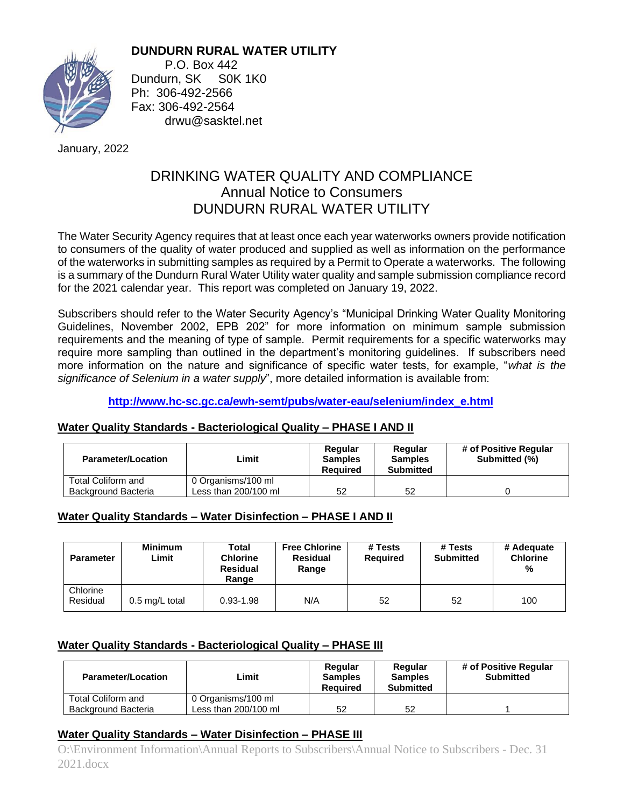

**DUNDURN RURAL WATER UTILITY** P.O. Box 442 Dundurn, SK S0K 1K0 Ph: 306-492-2566 Fax: 306-492-2564

drwu@sasktel.net

January, 2022

# DRINKING WATER QUALITY AND COMPLIANCE Annual Notice to Consumers DUNDURN RURAL WATER UTILITY

The Water Security Agency requires that at least once each year waterworks owners provide notification to consumers of the quality of water produced and supplied as well as information on the performance of the waterworks in submitting samples as required by a Permit to Operate a waterworks. The following is a summary of the Dundurn Rural Water Utility water quality and sample submission compliance record for the 2021 calendar year. This report was completed on January 19, 2022.

Subscribers should refer to the Water Security Agency's "Municipal Drinking Water Quality Monitoring Guidelines, November 2002, EPB 202" for more information on minimum sample submission requirements and the meaning of type of sample. Permit requirements for a specific waterworks may require more sampling than outlined in the department's monitoring guidelines. If subscribers need more information on the nature and significance of specific water tests, for example, "*what is the significance of Selenium in a water supply*", more detailed information is available from:

**[http://www.hc-sc.gc.ca/ewh-semt/pubs/water-eau/selenium/index\\_e.html](http://www.hc-sc.gc.ca/ewh-semt/pubs/water-eau/selenium/index_e.html)**

## **Water Quality Standards - Bacteriological Quality – PHASE I AND II**

| <b>Parameter/Location</b> | Limit                | Regular<br><b>Samples</b><br>Required | Regular<br><b>Samples</b><br>Submitted | # of Positive Regular<br>Submitted (%) |
|---------------------------|----------------------|---------------------------------------|----------------------------------------|----------------------------------------|
| <b>Total Coliform and</b> | 0 Organisms/100 ml   |                                       |                                        |                                        |
| Background Bacteria       | Less than 200/100 ml | 52                                    | 52                                     |                                        |

## **Water Quality Standards – Water Disinfection – PHASE I AND II**

| <b>Parameter</b>     | <b>Minimum</b><br>Limit | Total<br><b>Chlorine</b><br><b>Residual</b><br>Range | <b>Free Chlorine</b><br><b>Residual</b><br>Range | # Tests<br><b>Required</b> | # Tests<br><b>Submitted</b> | # Adequate<br><b>Chlorine</b><br>% |
|----------------------|-------------------------|------------------------------------------------------|--------------------------------------------------|----------------------------|-----------------------------|------------------------------------|
| Chlorine<br>Residual | 0.5 mg/L total          | $0.93 - 1.98$                                        | N/A                                              | 52                         | 52                          | 100                                |

## **Water Quality Standards - Bacteriological Quality – PHASE III**

| <b>Parameter/Location</b>  | Limit                | Regular<br><b>Samples</b><br><b>Required</b> | Regular<br><b>Samples</b><br><b>Submitted</b> | # of Positive Regular<br><b>Submitted</b> |
|----------------------------|----------------------|----------------------------------------------|-----------------------------------------------|-------------------------------------------|
| Total Coliform and         | 0 Organisms/100 ml   |                                              |                                               |                                           |
| <b>Background Bacteria</b> | Less than 200/100 ml | 52                                           | 52                                            |                                           |

### **Water Quality Standards – Water Disinfection – PHASE III**

O:\Environment Information\Annual Reports to Subscribers\Annual Notice to Subscribers - Dec. 31 2021.docx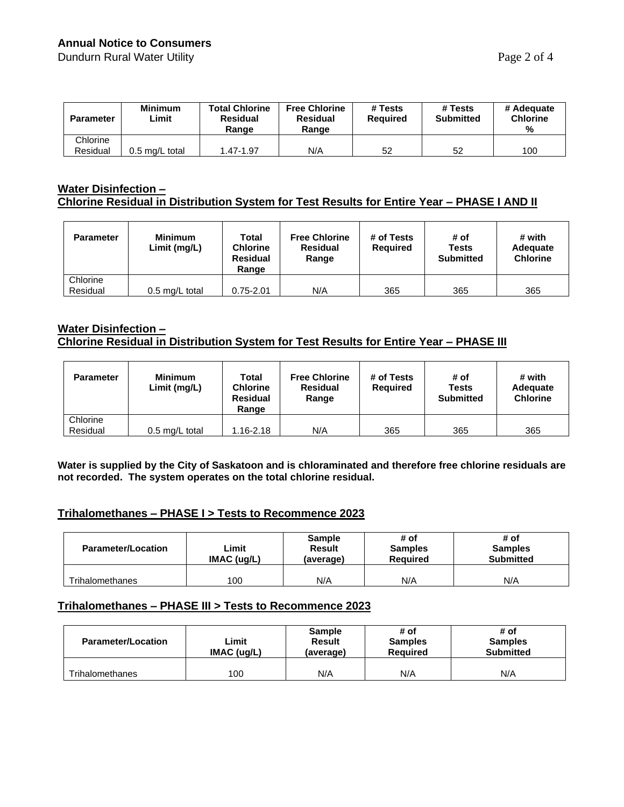### **Annual Notice to Consumers**

Dundurn Rural Water Utility **Page 2 of 4** 

| <b>Parameter</b> | <b>Minimum</b><br>Limit | <b>Total Chlorine</b><br>Residual<br>Range | <b>Free Chlorine</b><br><b>Residual</b><br>Range | # Tests<br><b>Required</b> | # Tests<br><b>Submitted</b> | # Adequate<br><b>Chlorine</b><br>% |
|------------------|-------------------------|--------------------------------------------|--------------------------------------------------|----------------------------|-----------------------------|------------------------------------|
| Chlorine         |                         |                                            |                                                  |                            |                             |                                    |
| Residual         | 0.5 mɑ/L total          | 1.47-1.97                                  | N/A                                              | 52                         | 52                          | 100                                |

#### **Water Disinfection – Chlorine Residual in Distribution System for Test Results for Entire Year – PHASE I AND II**

| <b>Parameter</b> | <b>Minimum</b><br>Limit (mg/L) | Total<br><b>Chlorine</b><br><b>Residual</b><br>Range | <b>Free Chlorine</b><br><b>Residual</b><br>Range | # of Tests<br><b>Required</b> | # of<br><b>Tests</b><br><b>Submitted</b> | # with<br>Adequate<br><b>Chlorine</b> |
|------------------|--------------------------------|------------------------------------------------------|--------------------------------------------------|-------------------------------|------------------------------------------|---------------------------------------|
| Chlorine         |                                |                                                      |                                                  |                               |                                          |                                       |
| Residual         | $0.5$ mg/L total               | $0.75 - 2.01$                                        | N/A                                              | 365                           | 365                                      | 365                                   |

#### **Water Disinfection – Chlorine Residual in Distribution System for Test Results for Entire Year – PHASE III**

| <b>Parameter</b> | <b>Minimum</b><br>Limit (mg/L) | Total<br><b>Chlorine</b><br><b>Residual</b><br>Range | <b>Free Chlorine</b><br><b>Residual</b><br>Range | # of Tests<br><b>Required</b> | # of<br><b>Tests</b><br><b>Submitted</b> | # with<br><b>Adequate</b><br><b>Chlorine</b> |
|------------------|--------------------------------|------------------------------------------------------|--------------------------------------------------|-------------------------------|------------------------------------------|----------------------------------------------|
| Chlorine         |                                |                                                      |                                                  |                               |                                          |                                              |
| Residual         | $0.5$ mg/L total               | $1.16 - 2.18$                                        | N/A                                              | 365                           | 365                                      | 365                                          |

**Water is supplied by the City of Saskatoon and is chloraminated and therefore free chlorine residuals are not recorded. The system operates on the total chlorine residual.**

# **Trihalomethanes – PHASE I > Tests to Recommence 2023**

| <b>Parameter/Location</b> | ∟imit<br>IMAC (uq/L) | <b>Sample</b><br>Result<br>(average) | # of<br><b>Samples</b><br><b>Required</b> | # of<br><b>Samples</b><br><b>Submitted</b> |
|---------------------------|----------------------|--------------------------------------|-------------------------------------------|--------------------------------------------|
| Trihalomethanes           | 100                  | N/A                                  | N/A                                       | N/A                                        |

#### **Trihalomethanes – PHASE III > Tests to Recommence 2023**

| <b>Parameter/Location</b> | ∟imit<br>IMAC (uq/L) | <b>Sample</b><br><b>Result</b><br>(average) | # of<br><b>Samples</b><br><b>Required</b> | # of<br><b>Samples</b><br><b>Submitted</b> |
|---------------------------|----------------------|---------------------------------------------|-------------------------------------------|--------------------------------------------|
| <b>Trihalomethanes</b>    | 100                  | N/A                                         | N/A                                       | N/A                                        |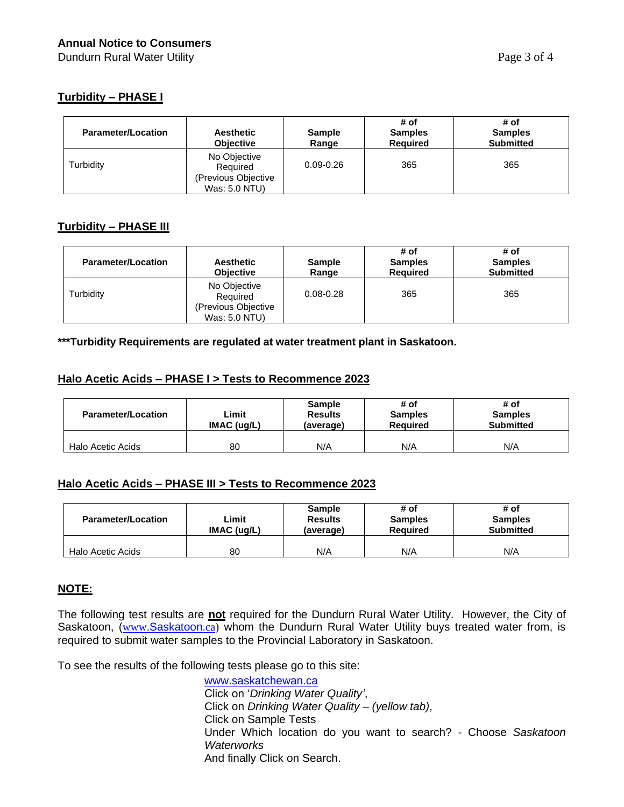### **Turbidity – PHASE I**

| <b>Parameter/Location</b> | <b>Aesthetic</b><br><b>Objective</b>                             | <b>Sample</b><br>Range | # of<br><b>Samples</b><br><b>Required</b> | # of<br><b>Samples</b><br><b>Submitted</b> |
|---------------------------|------------------------------------------------------------------|------------------------|-------------------------------------------|--------------------------------------------|
| Turbidity                 | No Objective<br>Required<br>(Previous Objective<br>Was: 5.0 NTU) | $0.09 - 0.26$          | 365                                       | 365                                        |

### **Turbidity – PHASE III**

| <b>Parameter/Location</b> | <b>Aesthetic</b><br><b>Objective</b>                             | <b>Sample</b><br>Range | # of<br><b>Samples</b><br><b>Required</b> | # of<br><b>Samples</b><br><b>Submitted</b> |
|---------------------------|------------------------------------------------------------------|------------------------|-------------------------------------------|--------------------------------------------|
| Turbidity                 | No Objective<br>Required<br>(Previous Objective<br>Was: 5.0 NTU) | $0.08 - 0.28$          | 365                                       | 365                                        |

**\*\*\*Turbidity Requirements are regulated at water treatment plant in Saskatoon.**

#### **Halo Acetic Acids – PHASE I > Tests to Recommence 2023**

| <b>Parameter/Location</b> | Limit<br>IMAC (uq/L) | <b>Sample</b><br><b>Results</b><br>(average) | # of<br><b>Samples</b><br><b>Required</b> | # of<br><b>Samples</b><br><b>Submitted</b> |
|---------------------------|----------------------|----------------------------------------------|-------------------------------------------|--------------------------------------------|
| Halo Acetic Acids         | 80                   | N/A                                          | N/A                                       | N/A                                        |

### **Halo Acetic Acids – PHASE III > Tests to Recommence 2023**

| <b>Parameter/Location</b> | ∟imit<br>IMAC (uq/L) | <b>Sample</b><br><b>Results</b><br>(average) | # of<br><b>Samples</b><br><b>Required</b> | # of<br><b>Samples</b><br><b>Submitted</b> |
|---------------------------|----------------------|----------------------------------------------|-------------------------------------------|--------------------------------------------|
| Halo Acetic Acids         | 80                   | N/A                                          | N/A                                       | N/A                                        |

### **NOTE:**

The following test results are **not** required for the Dundurn Rural Water Utility. However, the City of [Saskatoon](http://www.saskatoon.ca/), (www.Saskatoon.ca) whom the Dundurn Rural Water Utility buys treated water from, is required to submit water samples to the Provincial Laboratory in Saskatoon.

To see the results of the following tests please go to this site:

[www.saskatchewan.ca](http://www.saskatchewan.ca/) Click on '*Drinking Water Quality'*, Click on *Drinking Water Quality – (yellow tab)*, Click on Sample Tests Under Which location do you want to search? - Choose *Saskatoon Waterworks* And finally Click on Search.